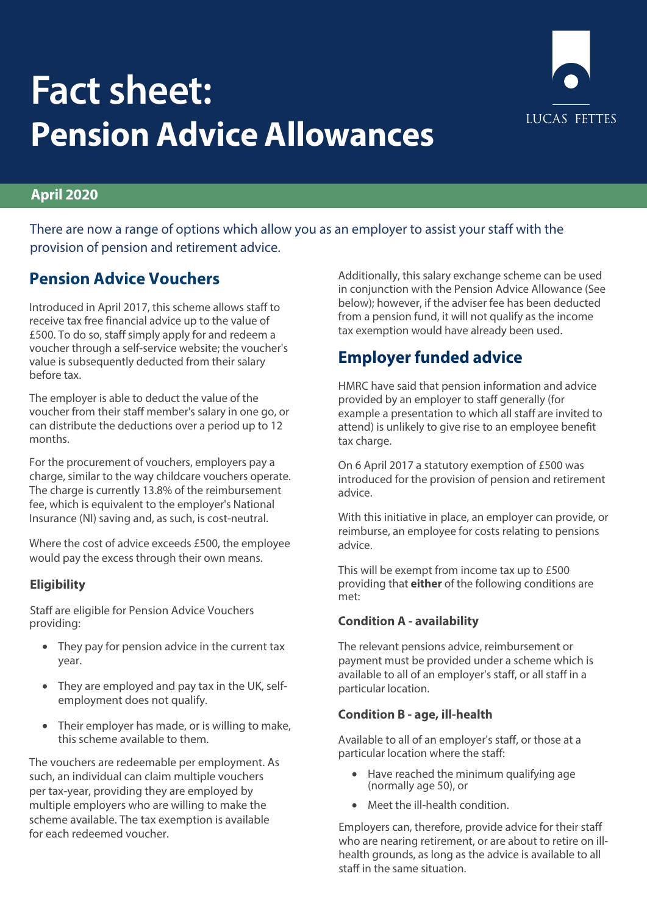

# **Fact sheet: Pension Advice Allowances**

### **April 2020**

There are now a range of options which allow you as an employer to assist your staff with the provision of pension and retirement advice.

## **Pension Advice Vouchers**

Introduced in April 2017, this scheme allows staff to receive tax free financial advice up to the value of £500. To do so, staff simply apply for and redeem a voucher through a self-service website; the voucher's value is subsequently deducted from their salary before tax.

The employer is able to deduct the value of the voucher from their staff member's salary in one go, or can distribute the deductions over a period up to 12 months.

For the procurement of vouchers, employers pay a charge, similar to the way childcare vouchers operate. The charge is currently 13.8% of the reimbursement fee, which is equivalent to the employer's National Insurance (NI) saving and, as such, is cost-neutral.

Where the cost of advice exceeds £500, the employee would pay the excess through their own means.

#### **Eligibility**

Staff are eligible for Pension Advice Vouchers providing:

- They pay for pension advice in the current tax year.
- They are employed and pay tax in the UK, selfemployment does not qualify.
- Their employer has made, or is willing to make, this scheme available to them.

The vouchers are redeemable per employment. As such, an individual can claim multiple vouchers per tax-year, providing they are employed by multiple employers who are willing to make the scheme available. The tax exemption is available for each redeemed voucher.

Additionally, this salary exchange scheme can be used in conjunction with the Pension Advice Allowance (See below); however, if the adviser fee has been deducted from a pension fund, it will not qualify as the income tax exemption would have already been used.

# **Employer funded advice**

HMRC have said that pension information and advice provided by an employer to staff generally (for example a presentation to which all staff are invited to attend) is unlikely to give rise to an employee benefit tax charge.

On 6 April 2017 a statutory exemption of £500 was introduced for the provision of pension and retirement advice.

With this initiative in place, an employer can provide, or reimburse, an employee for costs relating to pensions advice.

This will be exempt from income tax up to £500 providing that **either** of the following conditions are met:

#### **Condition A - availability**

The relevant pensions advice, reimbursement or payment must be provided under a scheme which is available to all of an employer's staff, or all staff in a particular location.

#### **Condition B - age, ill-health**

Available to all of an employer's staff, or those at a particular location where the staff:

- Have reached the minimum qualifying age (normally age 50), or
- Meet the ill-health condition.

Employers can, therefore, provide advice for their staff who are nearing retirement, or are about to retire on illhealth grounds, as long as the advice is available to all staff in the same situation.